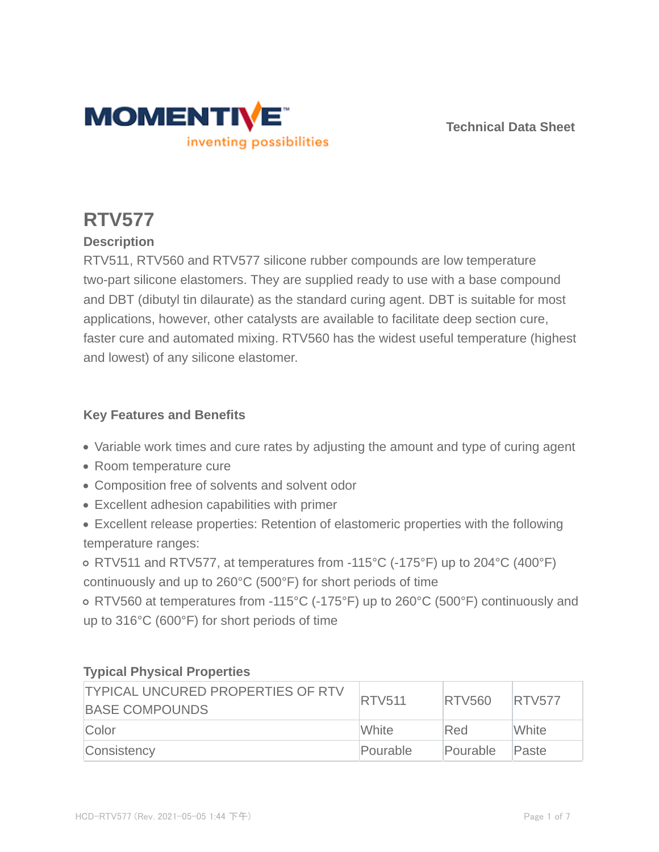

**Technical Data Sheet**

# **RTV577**

# **Description**

RTV511, RTV560 and RTV577 silicone rubber compounds are low temperature two-part silicone elastomers. They are supplied ready to use with a base compound and DBT (dibutyl tin dilaurate) as the standard curing agent. DBT is suitable for most applications, however, other catalysts are available to facilitate deep section cure, faster cure and automated mixing. RTV560 has the widest useful temperature (highest and lowest) of any silicone elastomer.

## **Key Features and Benefits**

- Variable work times and cure rates by adjusting the amount and type of curing agent
- Room temperature cure
- Composition free of solvents and solvent odor
- Excellent adhesion capabilities with primer
- Excellent release properties: Retention of elastomeric properties with the following temperature ranges:

RTV511 and RTV577, at temperatures from -115°C (-175°F) up to 204°C (400°F) continuously and up to 260°C (500°F) for short periods of time

RTV560 at temperatures from -115°C (-175°F) up to 260°C (500°F) continuously and up to 316°C (600°F) for short periods of time

| <b>TYPICAL UNCURED PROPERTIES OF RTV</b><br><b>BASE COMPOUNDS</b> | <b>RTV511</b> | <b>RTV560</b> | <b>IRTV577</b> |
|-------------------------------------------------------------------|---------------|---------------|----------------|
| Color                                                             | <b>White</b>  | Red           | White          |
| Consistency                                                       | Pourable      | Pourable      | Paste          |

# **Typical Physical Properties**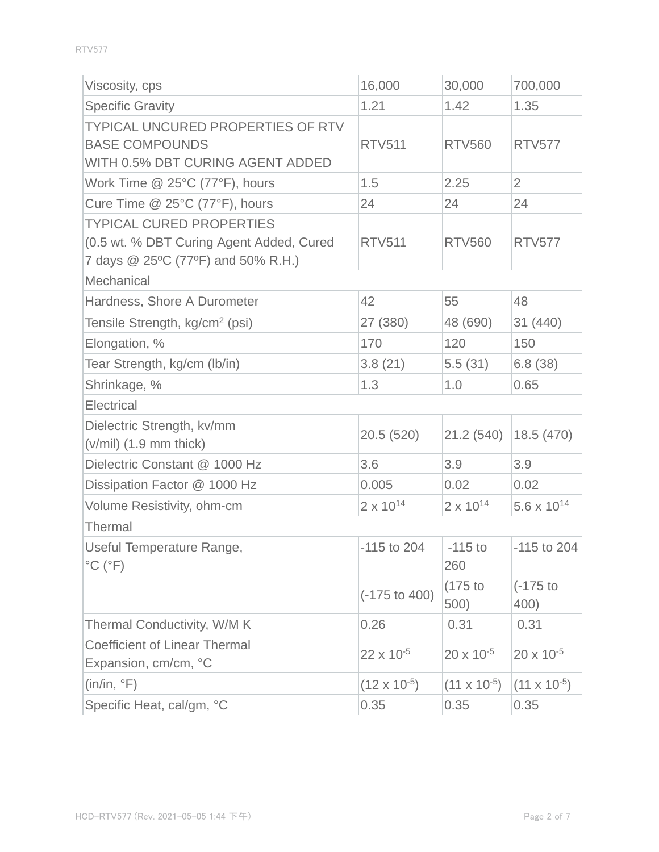| Viscosity, cps                                                                                                    | 16,000                   | 30,000                | 700,000               |
|-------------------------------------------------------------------------------------------------------------------|--------------------------|-----------------------|-----------------------|
| <b>Specific Gravity</b>                                                                                           | 1.21                     | 1.42                  | 1.35                  |
| <b>TYPICAL UNCURED PROPERTIES OF RTV</b><br><b>BASE COMPOUNDS</b><br>WITH 0.5% DBT CURING AGENT ADDED             | <b>RTV511</b>            | <b>RTV560</b>         | <b>RTV577</b>         |
| Work Time $@$ 25°C (77°F), hours                                                                                  | 1.5                      | 2.25                  | $\overline{2}$        |
| Cure Time @ 25°C (77°F), hours                                                                                    | 24                       | 24                    | 24                    |
| <b>TYPICAL CURED PROPERTIES</b><br>(0.5 wt. % DBT Curing Agent Added, Cured<br>7 days @ 25°C (77°F) and 50% R.H.) | <b>RTV511</b>            | <b>RTV560</b>         | <b>RTV577</b>         |
| Mechanical                                                                                                        |                          |                       |                       |
| Hardness, Shore A Durometer                                                                                       | 42                       | 55                    | 48                    |
| Tensile Strength, kg/cm <sup>2</sup> (psi)                                                                        | 27 (380)                 | 48 (690)              | 31 (440)              |
| Elongation, %                                                                                                     | 170                      | 120                   | 150                   |
| Tear Strength, kg/cm (lb/in)                                                                                      | 3.8(21)                  | 5.5(31)               | 6.8(38)               |
| Shrinkage, %                                                                                                      | 1.3                      | 1.0                   | 0.65                  |
| Electrical                                                                                                        |                          |                       |                       |
| Dielectric Strength, kv/mm<br>$(v/mil)$ (1.9 mm thick)                                                            | 20.5(520)                | 21.2(540)             | 18.5(470)             |
| Dielectric Constant @ 1000 Hz                                                                                     | 3.6                      | 3.9                   | 3.9                   |
| Dissipation Factor @ 1000 Hz                                                                                      | 0.005                    | 0.02                  | 0.02                  |
| Volume Resistivity, ohm-cm                                                                                        | $2 \times 10^{14}$       | $2 \times 10^{14}$    | $5.6 \times 10^{14}$  |
| <b>Thermal</b>                                                                                                    |                          |                       |                       |
| Useful Temperature Range,<br>$^{\circ}$ C ( $^{\circ}$ F)                                                         | $-115$ to 204            | $-115$ to<br>260      | $-115$ to 204         |
|                                                                                                                   | $(-175 \text{ to } 400)$ | $(175$ to<br>500)     | $(-175)$<br>400)      |
| Thermal Conductivity, W/M K                                                                                       | 0.26                     | 0.31                  | 0.31                  |
| <b>Coefficient of Linear Thermal</b><br>Expansion, cm/cm, °C                                                      | $22 \times 10^{-5}$      | $20 \times 10^{-5}$   | $20 \times 10^{-5}$   |
| (in/in, °F)                                                                                                       | $(12 \times 10^{-5})$    | $(11 \times 10^{-5})$ | $(11 \times 10^{-5})$ |
| Specific Heat, cal/gm, °C                                                                                         | 0.35                     | 0.35                  | 0.35                  |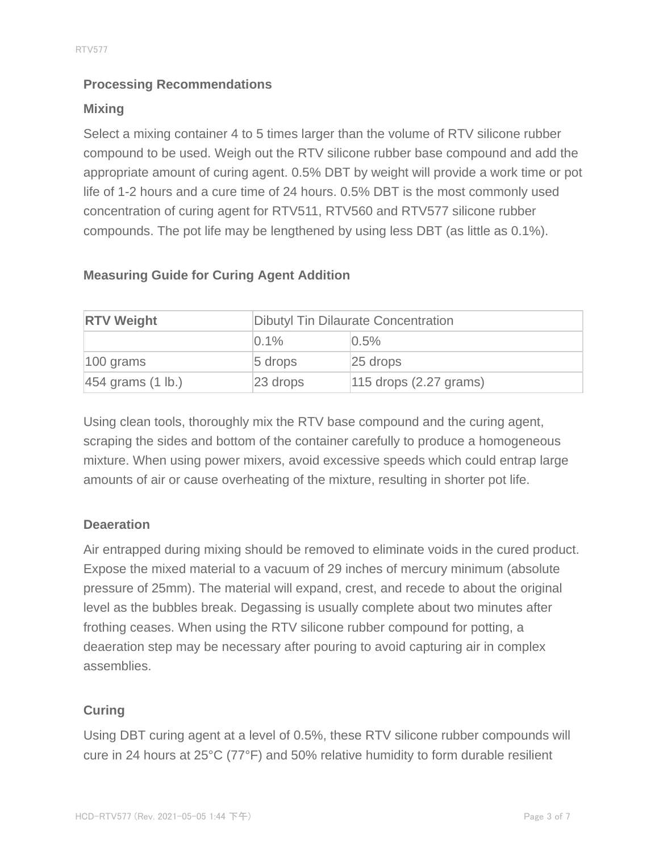## **Processing Recommendations**

### **Mixing**

Select a mixing container 4 to 5 times larger than the volume of RTV silicone rubber compound to be used. Weigh out the RTV silicone rubber base compound and add the appropriate amount of curing agent. 0.5% DBT by weight will provide a work time or pot life of 1-2 hours and a cure time of 24 hours. 0.5% DBT is the most commonly used concentration of curing agent for RTV511, RTV560 and RTV577 silicone rubber compounds. The pot life may be lengthened by using less DBT (as little as 0.1%).

| <b>Measuring Guide for Curing Agent Addition</b> |  |  |  |  |  |
|--------------------------------------------------|--|--|--|--|--|
|--------------------------------------------------|--|--|--|--|--|

| <b>RTV Weight</b>              | <b>Dibutyl Tin Dilaurate Concentration</b> |                          |  |
|--------------------------------|--------------------------------------------|--------------------------|--|
|                                | $\Omega$ . 1%                              | 0.5%                     |  |
| $ 100 \text{ grams} $          | $5$ drops                                  | $25$ drops               |  |
| $ 454$ grams $(1 \text{ lb.})$ | $23$ drops                                 | $115$ drops (2.27 grams) |  |

Using clean tools, thoroughly mix the RTV base compound and the curing agent, scraping the sides and bottom of the container carefully to produce a homogeneous mixture. When using power mixers, avoid excessive speeds which could entrap large amounts of air or cause overheating of the mixture, resulting in shorter pot life.

#### **Deaeration**

Air entrapped during mixing should be removed to eliminate voids in the cured product. Expose the mixed material to a vacuum of 29 inches of mercury minimum (absolute pressure of 25mm). The material will expand, crest, and recede to about the original level as the bubbles break. Degassing is usually complete about two minutes after frothing ceases. When using the RTV silicone rubber compound for potting, a deaeration step may be necessary after pouring to avoid capturing air in complex assemblies.

## **Curing**

Using DBT curing agent at a level of 0.5%, these RTV silicone rubber compounds will cure in 24 hours at 25°C (77°F) and 50% relative humidity to form durable resilient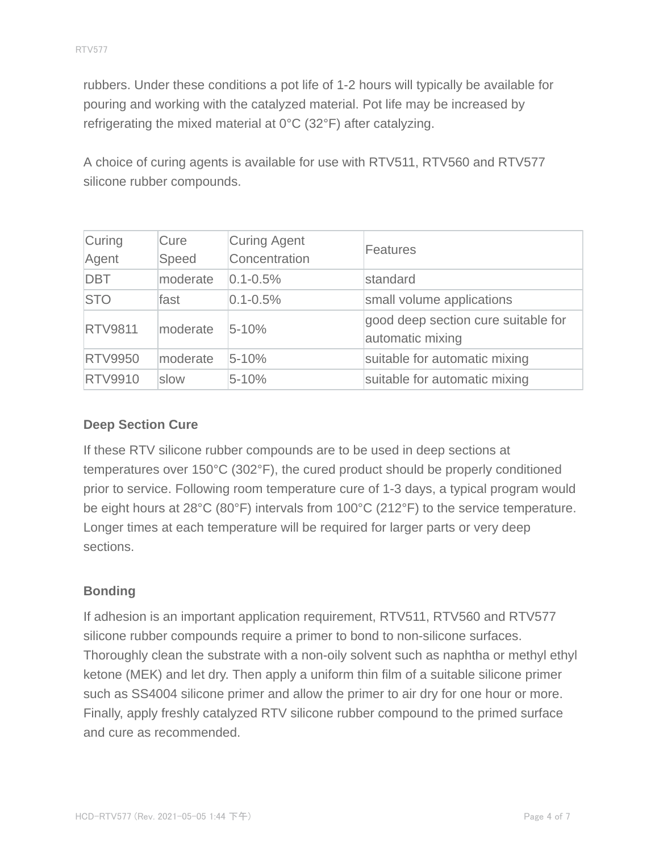rubbers. Under these conditions a pot life of 1-2 hours will typically be available for pouring and working with the catalyzed material. Pot life may be increased by refrigerating the mixed material at 0°C (32°F) after catalyzing.

A choice of curing agents is available for use with RTV511, RTV560 and RTV577 silicone rubber compounds.

| Curing<br>Agent | Cure<br>Speed | Curing Agent<br>Concentration | <b>Features</b>                                         |
|-----------------|---------------|-------------------------------|---------------------------------------------------------|
| <b>DBT</b>      | moderate      | $0.1 - 0.5%$                  | standard                                                |
| <b>STO</b>      | fast          | $0.1 - 0.5%$                  | small volume applications                               |
| <b>RTV9811</b>  | moderate      | $5 - 10%$                     | good deep section cure suitable for<br>automatic mixing |
| <b>RTV9950</b>  | moderate      | $5 - 10%$                     | suitable for automatic mixing                           |
| <b>RTV9910</b>  | slow          | $5 - 10%$                     | suitable for automatic mixing                           |

### **Deep Section Cure**

If these RTV silicone rubber compounds are to be used in deep sections at temperatures over 150°C (302°F), the cured product should be properly conditioned prior to service. Following room temperature cure of 1-3 days, a typical program would be eight hours at 28°C (80°F) intervals from 100°C (212°F) to the service temperature. Longer times at each temperature will be required for larger parts or very deep sections.

#### **Bonding**

If adhesion is an important application requirement, RTV511, RTV560 and RTV577 silicone rubber compounds require a primer to bond to non-silicone surfaces. Thoroughly clean the substrate with a non-oily solvent such as naphtha or methyl ethyl ketone (MEK) and let dry. Then apply a uniform thin film of a suitable silicone primer such as SS4004 silicone primer and allow the primer to air dry for one hour or more. Finally, apply freshly catalyzed RTV silicone rubber compound to the primed surface and cure as recommended.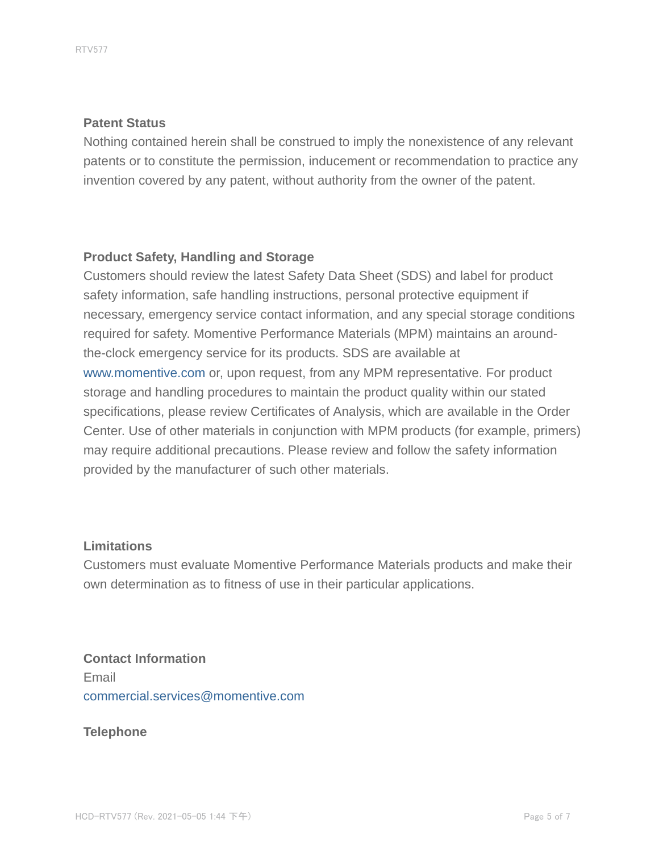#### **Patent Status**

Nothing contained herein shall be construed to imply the nonexistence of any relevant patents or to constitute the permission, inducement or recommendation to practice any invention covered by any patent, without authority from the owner of the patent.

#### **Product Safety, Handling and Storage**

Customers should review the latest Safety Data Sheet (SDS) and label for product safety information, safe handling instructions, personal protective equipment if necessary, emergency service contact information, and any special storage conditions required for safety. Momentive Performance Materials (MPM) maintains an aroundthe-clock emergency service for its products. SDS are available at www.momentive.com or, upon request, from any MPM representative. For product storage and handling procedures to maintain the product quality within our stated specifications, please review Certificates of Analysis, which are available in the Order Center. Use of other materials in conjunction with MPM products (for example, primers) may require additional precautions. Please review and follow the safety information provided by the manufacturer of such other materials.

#### **Limitations**

Customers must evaluate Momentive Performance Materials products and make their own determination as to fitness of use in their particular applications.

# **Contact Information** Email commercial.services@momentive.com

**Telephone**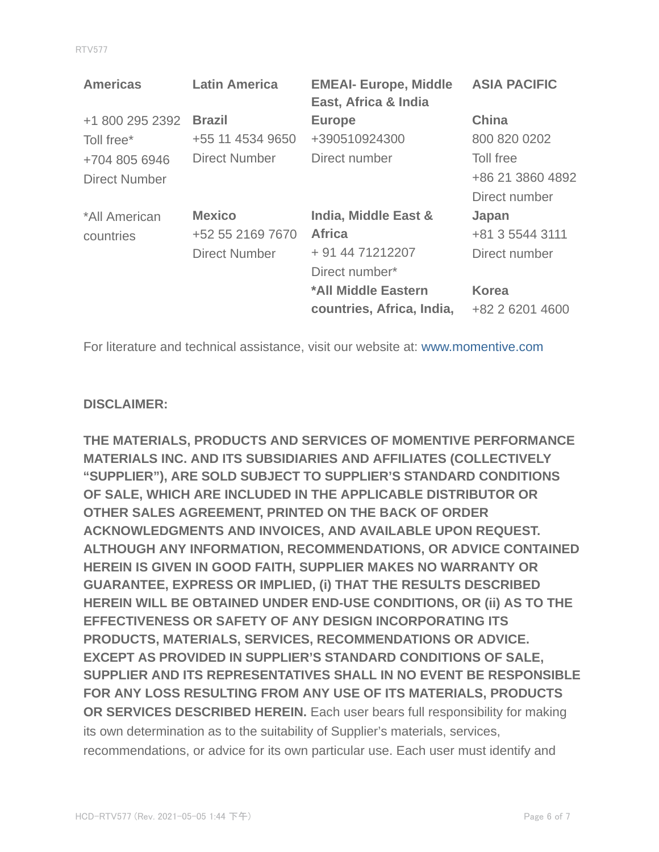| ۹ |  |  |  |
|---|--|--|--|
|   |  |  |  |
|   |  |  |  |

| <b>Americas</b>      | <b>Latin America</b> | <b>EMEAI- Europe, Middle</b><br>East, Africa & India | <b>ASIA PACIFIC</b> |
|----------------------|----------------------|------------------------------------------------------|---------------------|
| +1 800 295 2392      | <b>Brazil</b>        | <b>Europe</b>                                        | <b>China</b>        |
| Toll free*           | +55 11 4534 9650     | +390510924300                                        | 800 820 0202        |
| +704 805 6946        | Direct Number        | Direct number                                        | Toll free           |
| <b>Direct Number</b> |                      |                                                      | +86 21 3860 4892    |
|                      |                      |                                                      | Direct number       |
| *All American        | <b>Mexico</b>        | India, Middle East &                                 | Japan               |
| countries            | +52 55 2169 7670     | <b>Africa</b>                                        | +81 3 5544 3111     |
|                      | <b>Direct Number</b> | + 91 44 71212207                                     | Direct number       |
|                      |                      | Direct number*                                       |                     |
|                      |                      | *All Middle Eastern                                  | <b>Korea</b>        |
|                      |                      | countries, Africa, India,                            | +82 2 6201 4600     |

For literature and technical assistance, visit our website at: www.momentive.com

#### **DISCLAIMER:**

**THE MATERIALS, PRODUCTS AND SERVICES OF MOMENTIVE PERFORMANCE MATERIALS INC. AND ITS SUBSIDIARIES AND AFFILIATES (COLLECTIVELY "SUPPLIER"), ARE SOLD SUBJECT TO SUPPLIER'S STANDARD CONDITIONS OF SALE, WHICH ARE INCLUDED IN THE APPLICABLE DISTRIBUTOR OR OTHER SALES AGREEMENT, PRINTED ON THE BACK OF ORDER ACKNOWLEDGMENTS AND INVOICES, AND AVAILABLE UPON REQUEST. ALTHOUGH ANY INFORMATION, RECOMMENDATIONS, OR ADVICE CONTAINED HEREIN IS GIVEN IN GOOD FAITH, SUPPLIER MAKES NO WARRANTY OR GUARANTEE, EXPRESS OR IMPLIED, (i) THAT THE RESULTS DESCRIBED HEREIN WILL BE OBTAINED UNDER END-USE CONDITIONS, OR (ii) AS TO THE EFFECTIVENESS OR SAFETY OF ANY DESIGN INCORPORATING ITS PRODUCTS, MATERIALS, SERVICES, RECOMMENDATIONS OR ADVICE. EXCEPT AS PROVIDED IN SUPPLIER'S STANDARD CONDITIONS OF SALE, SUPPLIER AND ITS REPRESENTATIVES SHALL IN NO EVENT BE RESPONSIBLE FOR ANY LOSS RESULTING FROM ANY USE OF ITS MATERIALS, PRODUCTS OR SERVICES DESCRIBED HEREIN.** Each user bears full responsibility for making its own determination as to the suitability of Supplier's materials, services, recommendations, or advice for its own particular use. Each user must identify and